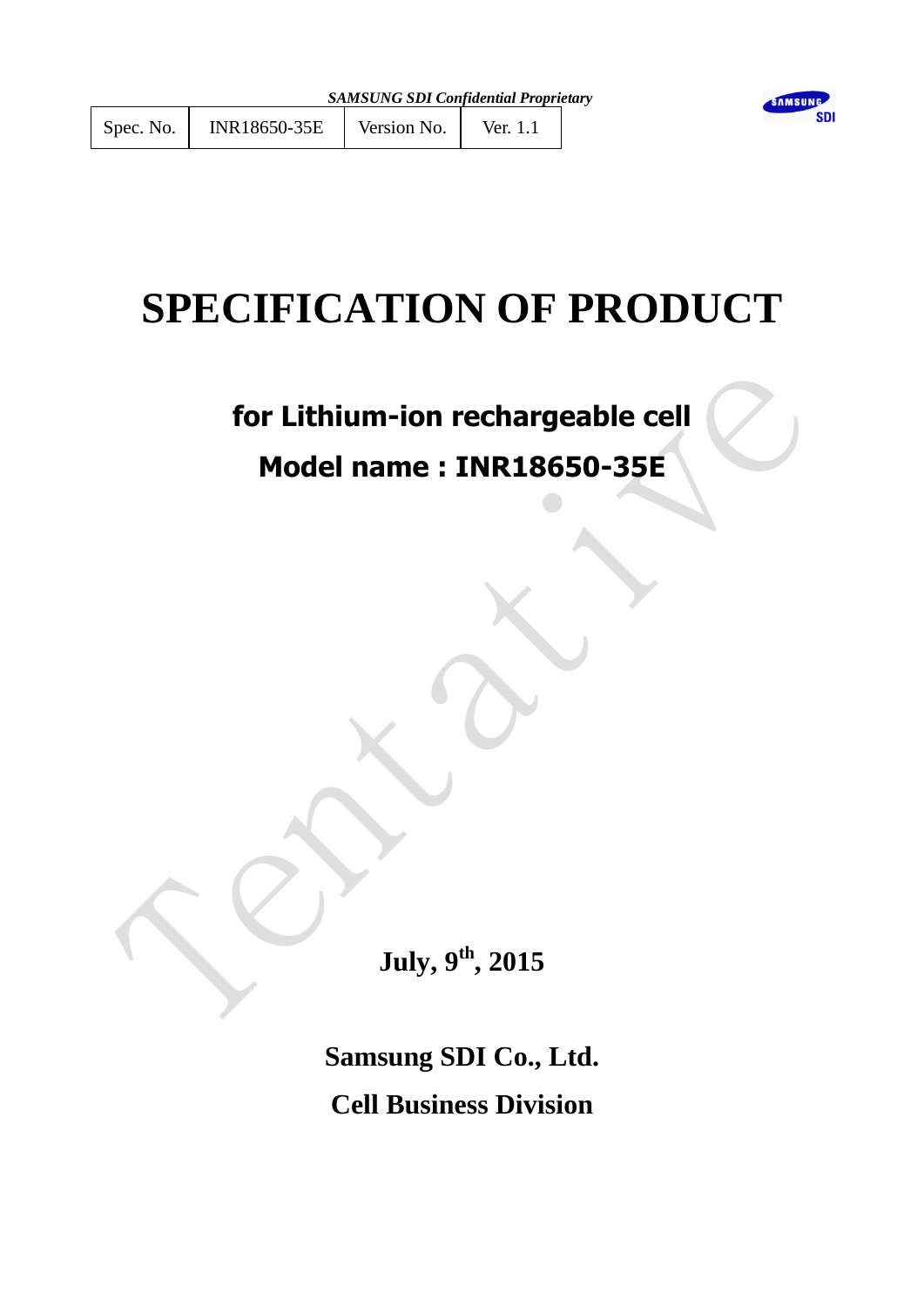# **SPECIFICATION OF PRODUCT**

**for Lithium-ion rechargeable cell**

## **Model name : INR18650-35E**

**July, 9 th , 2015**

**Samsung SDI Co., Ltd. Cell Business Division**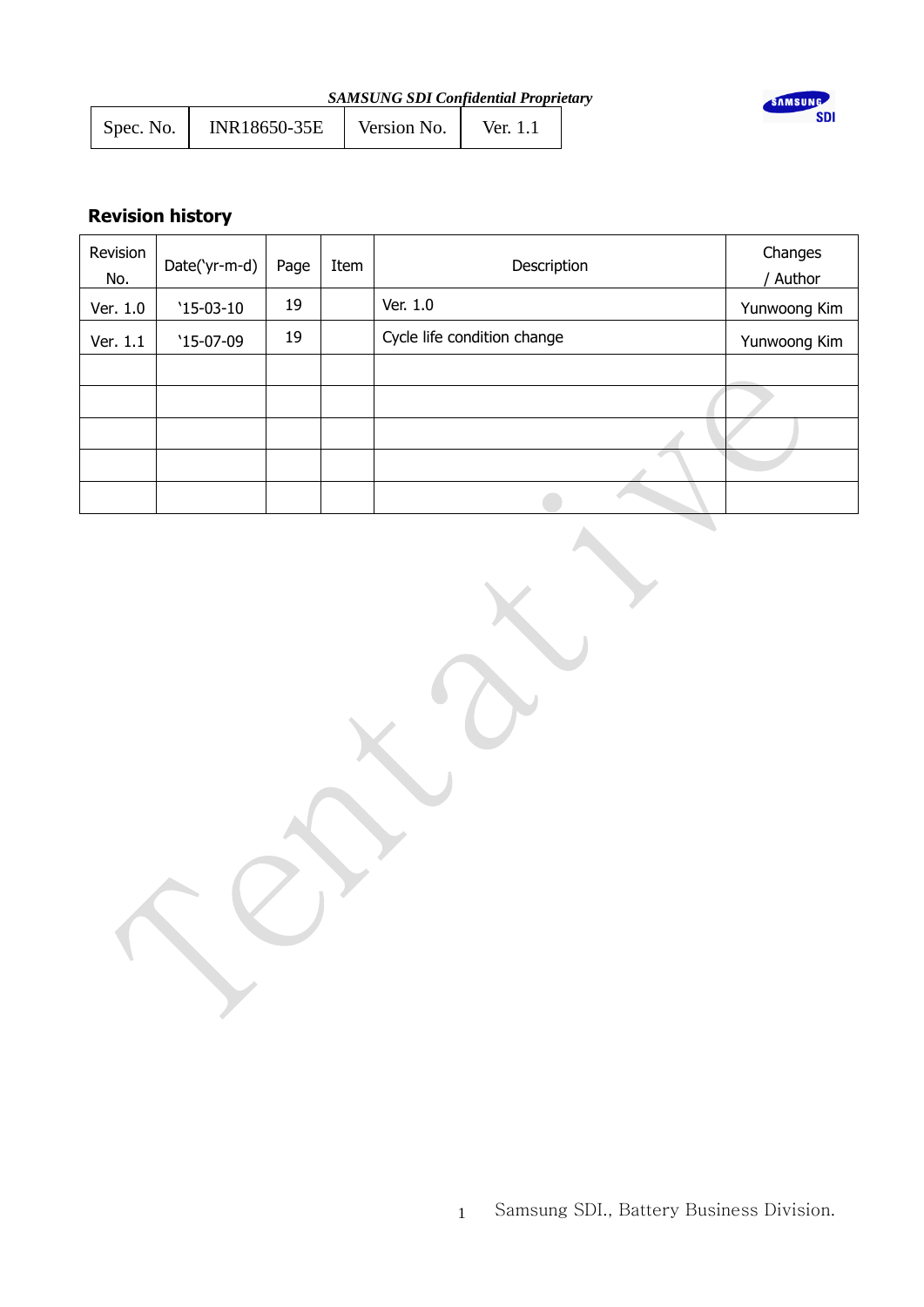| <b>SAMSUNG SDI Confidential Proprietary</b> |  |
|---------------------------------------------|--|
|---------------------------------------------|--|

| Spec. No. | INR18650-35E | Version No. | Ver. 1.1 |  |
|-----------|--------------|-------------|----------|--|
|           |              |             |          |  |



## **Revision history**

| Revision<br>No. | Date('yr-m-d) | Page | Item | Description                 | Changes<br>Author |
|-----------------|---------------|------|------|-----------------------------|-------------------|
| Ver. 1.0        | $'15-03-10$   | 19   |      | Ver. 1.0                    | Yunwoong Kim      |
| Ver. 1.1        | $'15-07-09$   | 19   |      | Cycle life condition change | Yunwoong Kim      |
|                 |               |      |      |                             |                   |
|                 |               |      |      |                             |                   |
|                 |               |      |      |                             |                   |
|                 |               |      |      |                             |                   |
|                 |               |      |      |                             |                   |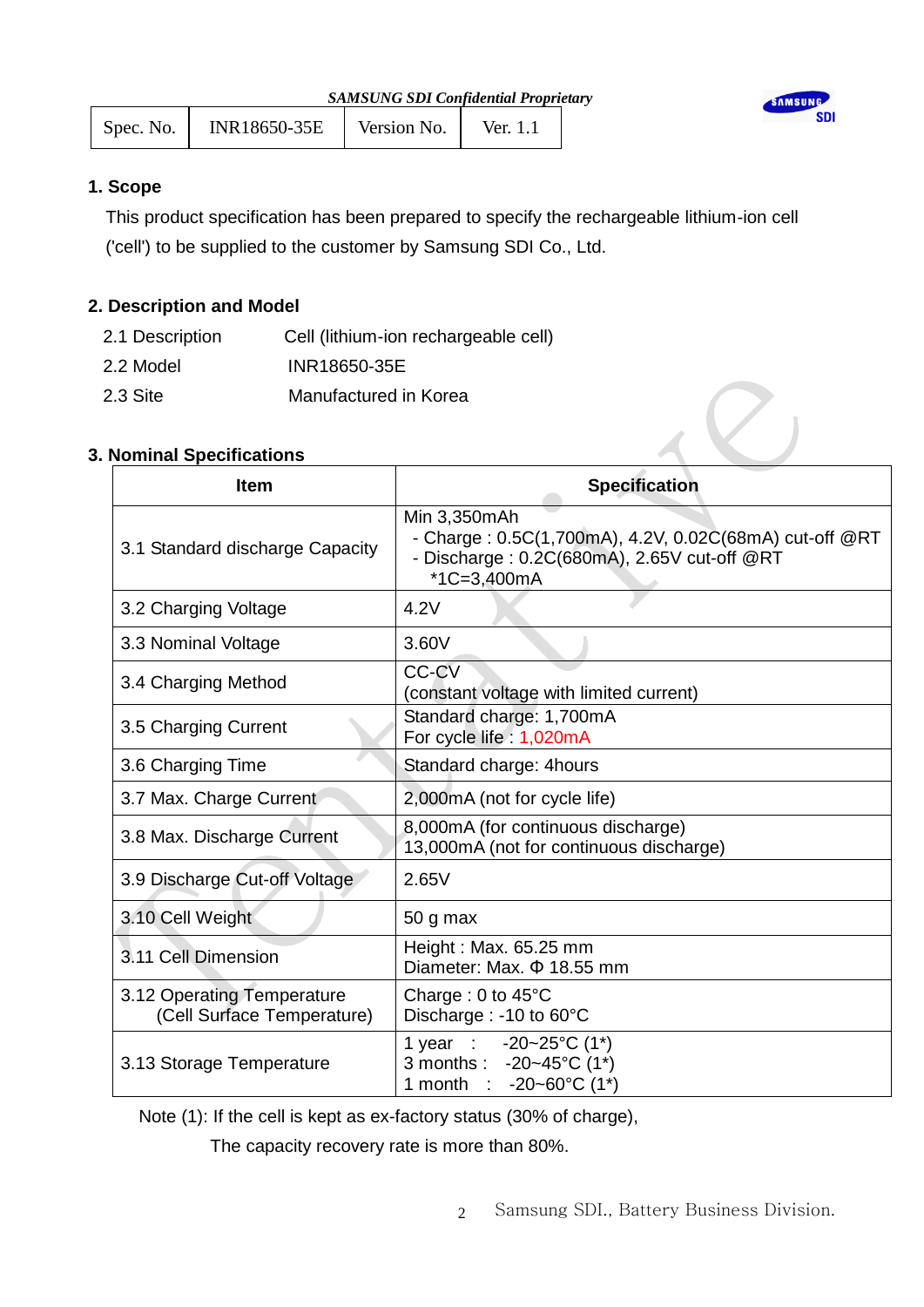| <b>SAMSUNG SDI Confidential Proprietary</b> |              |             |          |  | <b>SAMS</b> |
|---------------------------------------------|--------------|-------------|----------|--|-------------|
| Spec. No.                                   | INR18650-35E | Version No. | Ver. 1.1 |  |             |

**JNG SDI** 

## **1. Scope**

This product specification has been prepared to specify the rechargeable lithium-ion cell ('cell') to be supplied to the customer by Samsung SDI Co., Ltd.

## **2. Description and Model**

| 2.1 Description | Cell (lithium-ion rechargeable cell) |
|-----------------|--------------------------------------|
| 2.2 Model       | INR18650-35E                         |

2.3 Site Manufactured in Korea

## **3. Nominal Specifications**

| <b>Item</b>                                              | <b>Specification</b>                                                                                                                 |
|----------------------------------------------------------|--------------------------------------------------------------------------------------------------------------------------------------|
| 3.1 Standard discharge Capacity                          | Min 3,350mAh<br>- Charge: 0.5C(1,700mA), 4.2V, 0.02C(68mA) cut-off @RT<br>- Discharge: 0.2C(680mA), 2.65V cut-off @RT<br>*1C=3,400mA |
| 3.2 Charging Voltage                                     | 4.2V                                                                                                                                 |
| 3.3 Nominal Voltage                                      | 3.60V                                                                                                                                |
| 3.4 Charging Method                                      | CC-CV<br>(constant voltage with limited current)                                                                                     |
| 3.5 Charging Current                                     | Standard charge: 1,700mA<br>For cycle life: 1,020mA                                                                                  |
| 3.6 Charging Time                                        | Standard charge: 4hours                                                                                                              |
| 3.7 Max. Charge Current                                  | 2,000mA (not for cycle life)                                                                                                         |
| 3.8 Max. Discharge Current                               | 8,000mA (for continuous discharge)<br>13,000mA (not for continuous discharge)                                                        |
| 3.9 Discharge Cut-off Voltage                            | 2.65V                                                                                                                                |
| 3.10 Cell Weight                                         | 50 g max                                                                                                                             |
| 3.11 Cell Dimension                                      | Height: Max. 65.25 mm<br>Diameter: Max, $\Phi$ 18.55 mm                                                                              |
| 3.12 Operating Temperature<br>(Cell Surface Temperature) | Charge: $0$ to $45^{\circ}$ C<br>Discharge : -10 to 60°C                                                                             |
| 3.13 Storage Temperature                                 | 1 year : $-20-25$ °C (1 <sup>*</sup> )<br>3 months : -20~45°C (1*)<br>1 month : $-20-60^{\circ}C(1^{*})$                             |

Note (1): If the cell is kept as ex-factory status (30% of charge),

The capacity recovery rate is more than 80%.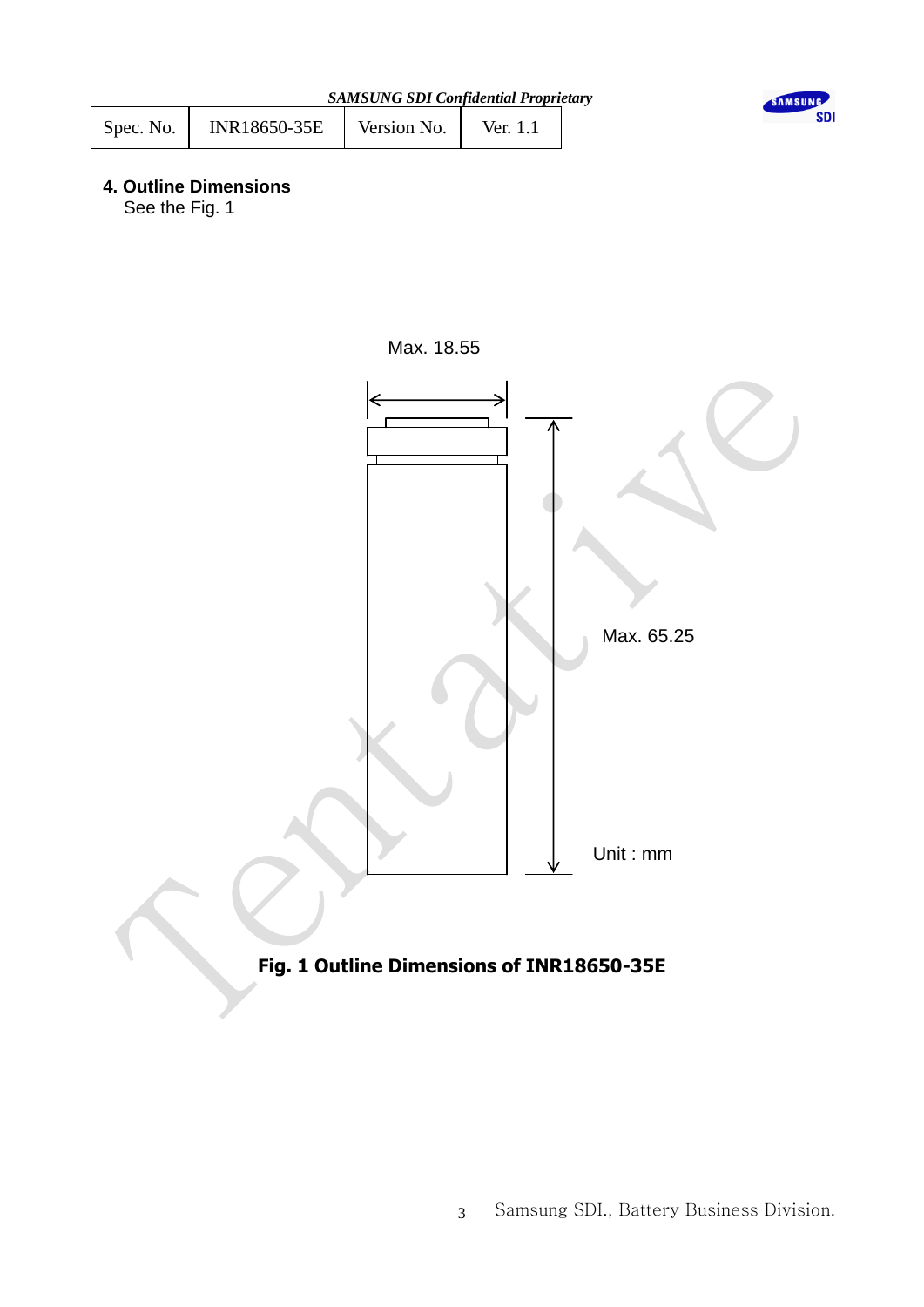| <b>SAMSUNG SDI Confidential Proprietary</b> |  |
|---------------------------------------------|--|
|---------------------------------------------|--|

| Spec. No. | <b>INR18650-35E</b> | Version No. | Ver. 1.1 |  |
|-----------|---------------------|-------------|----------|--|
|           |                     |             |          |  |



## **4. Outline Dimensions**

See the Fig. 1





## **Fig. 1 Outline Dimensions of INR18650-35E**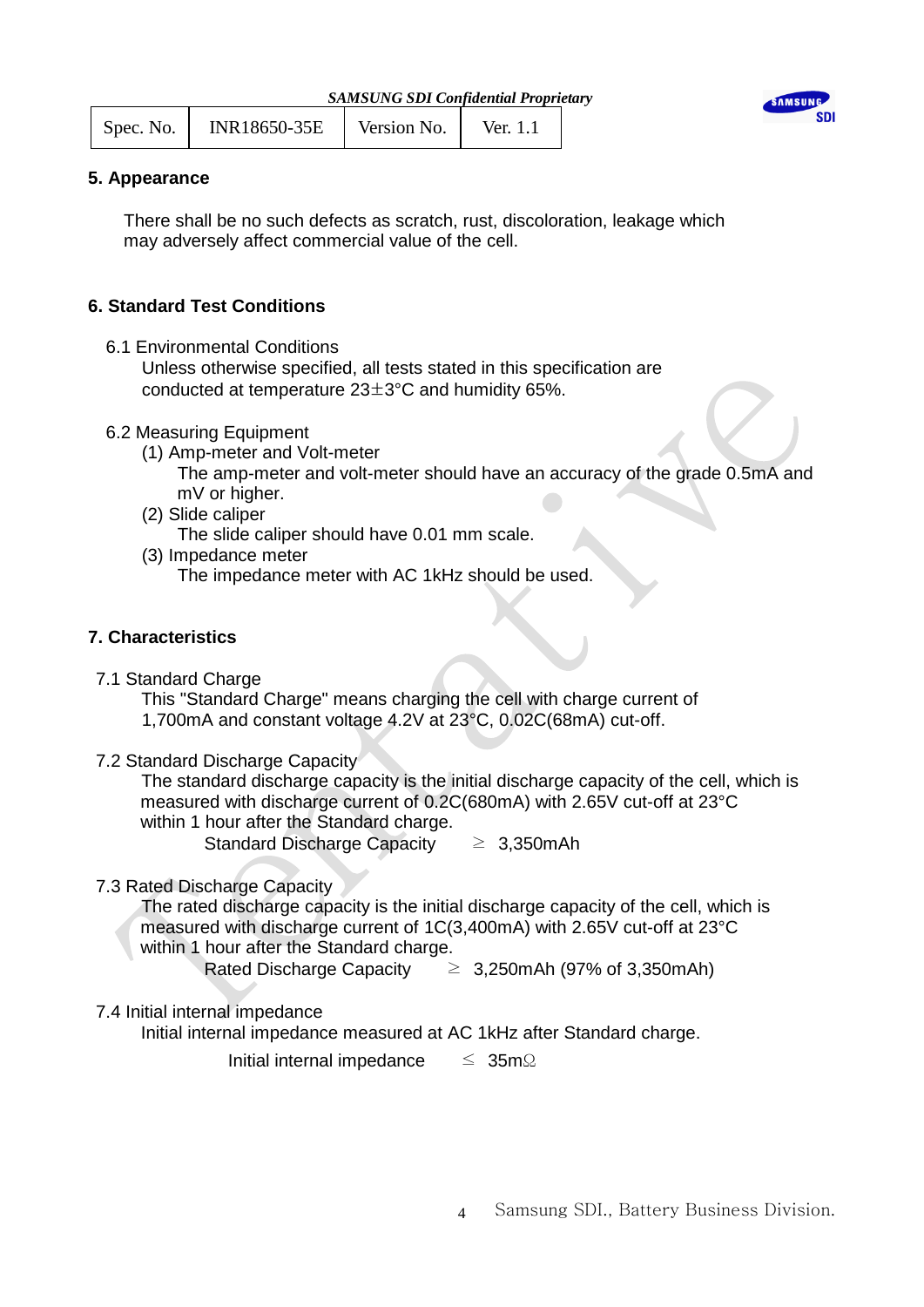| Spec. No. | INR18650-35E | Version No. | Ver. 1.1 |  |
|-----------|--------------|-------------|----------|--|
|           |              |             |          |  |



## **5. Appearance**

 There shall be no such defects as scratch, rust, discoloration, leakage which may adversely affect commercial value of the cell.

## **6. Standard Test Conditions**

6.1 Environmental Conditions

 Unless otherwise specified, all tests stated in this specification are conducted at temperature 23±3°C and humidity 65%.

- 6.2 Measuring Equipment
	- (1) Amp-meter and Volt-meter

 The amp-meter and volt-meter should have an accuracy of the grade 0.5mA and mV or higher.

(2) Slide caliper

The slide caliper should have 0.01 mm scale.

- (3) Impedance meter
	- The impedance meter with AC 1kHz should be used.

## **7. Characteristics**

7.1 Standard Charge

This "Standard Charge" means charging the cell with charge current of

- 1,700mA and constant voltage 4.2V at 23°C, 0.02C(68mA) cut-off.
- 7.2 Standard Discharge Capacity

 The standard discharge capacity is the initial discharge capacity of the cell, which is measured with discharge current of 0.2C(680mA) with 2.65V cut-off at 23°C within 1 hour after the Standard charge.

Standard Discharge Capacity  $\geq 3,350$ mAh

## 7.3 Rated Discharge Capacity

 The rated discharge capacity is the initial discharge capacity of the cell, which is measured with discharge current of 1C(3,400mA) with 2.65V cut-off at 23°C within 1 hour after the Standard charge.

Rated Discharge Capacity  $\geq 3,250$ mAh (97% of 3,350mAh)

## 7.4 Initial internal impedance

Initial internal impedance measured at AC 1kHz after Standard charge.

Initial internal impedance ≤ 35mΩ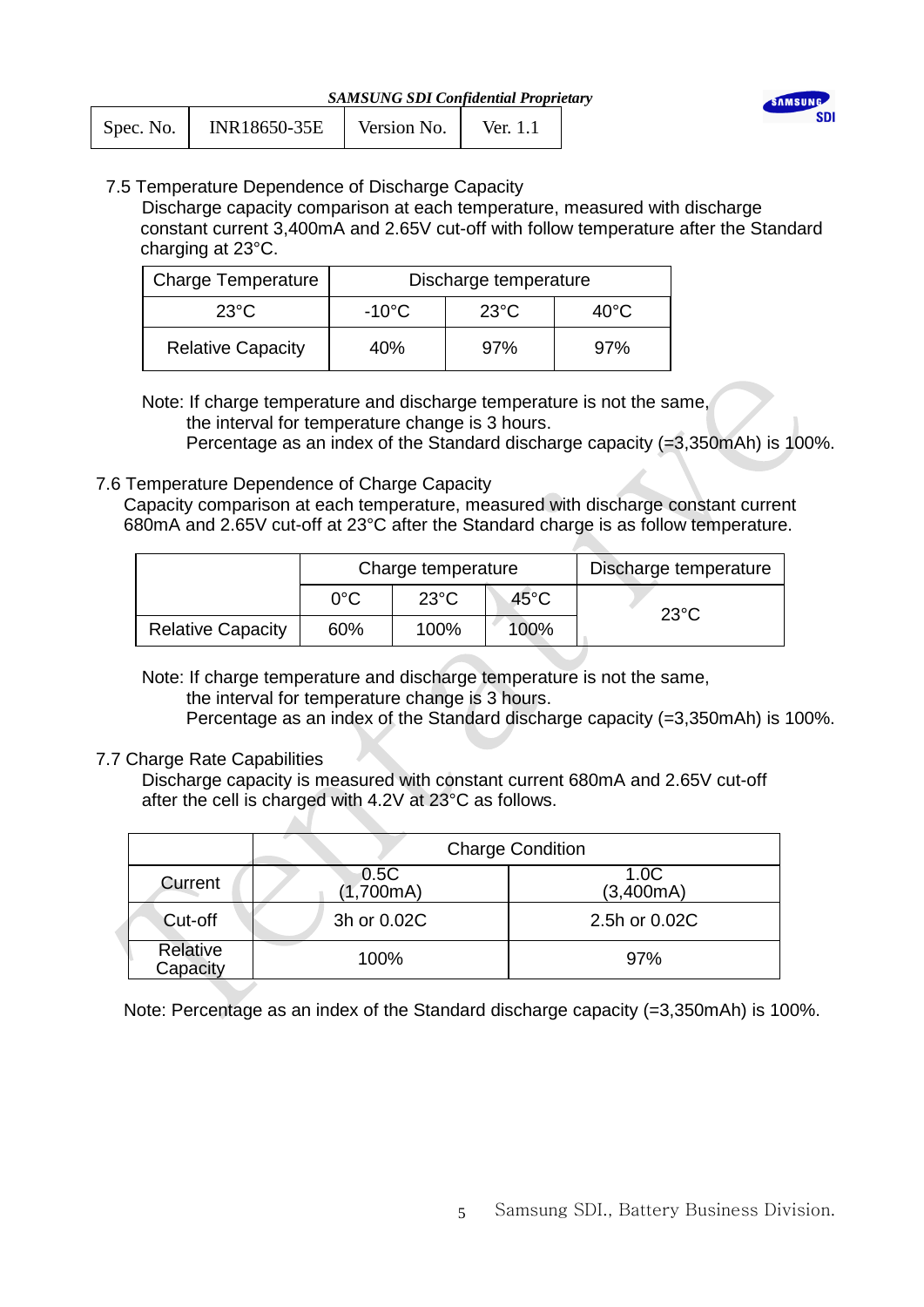

| Spec. No. | INR18650-35E | Version No. | Ver. 1.1 |  |
|-----------|--------------|-------------|----------|--|
|           |              |             |          |  |

## 7.5 Temperature Dependence of Discharge Capacity

 Discharge capacity comparison at each temperature, measured with discharge constant current 3,400mA and 2.65V cut-off with follow temperature after the Standard charging at 23°C.

| <b>Charge Temperature</b> | Discharge temperature |       |      |  |
|---------------------------|-----------------------|-------|------|--|
| $23^{\circ}$ C            | -10°C                 | -23°C | 40°C |  |
| <b>Relative Capacity</b>  | 40%                   | 97%   | 97%  |  |

 Note: If charge temperature and discharge temperature is not the same, the interval for temperature change is 3 hours.

Percentage as an index of the Standard discharge capacity (=3,350mAh) is 100%.

## 7.6 Temperature Dependence of Charge Capacity

 $\Delta I$ 

 Capacity comparison at each temperature, measured with discharge constant current 680mA and 2.65V cut-off at 23°C after the Standard charge is as follow temperature.

|                          | Charge temperature |                |                | Discharge temperature |
|--------------------------|--------------------|----------------|----------------|-----------------------|
|                          | $0^{\circ}$ C      | $23^{\circ}$ C | $45^{\circ}$ C | $23^{\circ}$ C        |
| <b>Relative Capacity</b> | 60%                | 100%           | 100%           |                       |

 Note: If charge temperature and discharge temperature is not the same, the interval for temperature change is 3 hours.

Percentage as an index of the Standard discharge capacity (=3,350mAh) is 100%.

## 7.7 Charge Rate Capabilities

Discharge capacity is measured with constant current 680mA and 2.65V cut-off after the cell is charged with 4.2V at 23°C as follows.

|                      |                   | <b>Charge Condition</b> |
|----------------------|-------------------|-------------------------|
| Current              | 0.5C<br>(1,700mA) | 1.0C<br>(3,400mA)       |
| Cut-off              | 3h or 0.02C       | 2.5h or 0.02C           |
| Relative<br>Capacity | 100%              | 97%                     |

Note: Percentage as an index of the Standard discharge capacity (=3,350mAh) is 100%.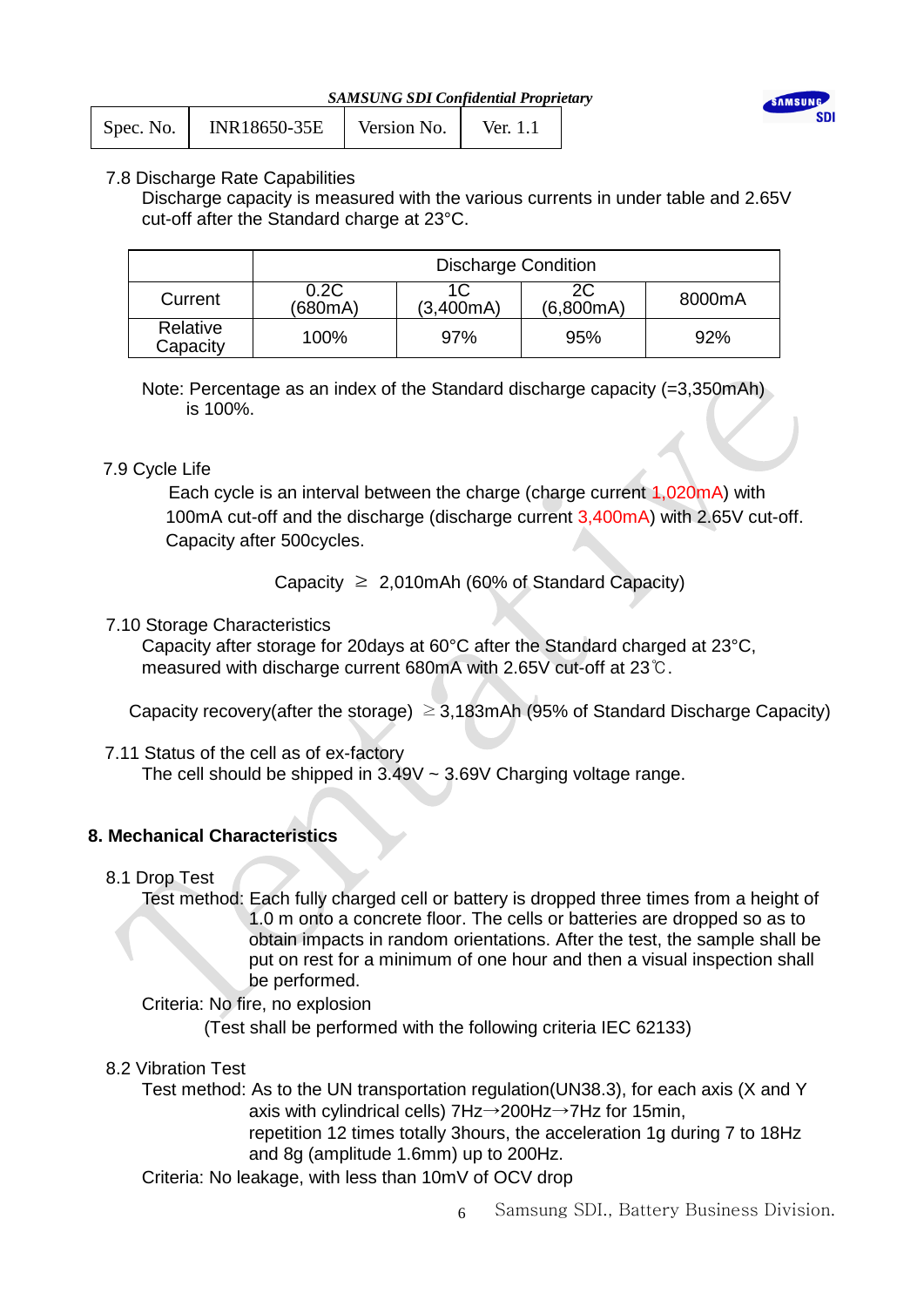

| Spec. No. | <b>INR18650-35E</b> | Version No. | Ver. 1.1 |
|-----------|---------------------|-------------|----------|
|-----------|---------------------|-------------|----------|

## 7.8 Discharge Rate Capabilities

Discharge capacity is measured with the various currents in under table and 2.65V cut-off after the Standard charge at 23°C.

|                      |                 | <b>Discharge Condition</b> |                 |        |
|----------------------|-----------------|----------------------------|-----------------|--------|
| Current              | 0.2C<br>(680mA) | 1C<br>(3,400mA)            | 2C<br>(6,800mA) | 8000mA |
| Relative<br>Capacity | 100%            | 97%                        | 95%             | 92%    |

Note: Percentage as an index of the Standard discharge capacity (=3,350mAh) is 100%.

## 7.9 Cycle Life

 Each cycle is an interval between the charge (charge current 1,020mA) with 100mA cut-off and the discharge (discharge current 3,400mA) with 2.65V cut-off. Capacity after 500cycles.

Capacity  $\geq 2,010$ mAh (60% of Standard Capacity)

## 7.10 Storage Characteristics

 Capacity after storage for 20days at 60°C after the Standard charged at 23°C, measured with discharge current 680mA with 2.65V cut-off at 23℃.

Capacity recovery(after the storage)  $\geq$  3,183mAh (95% of Standard Discharge Capacity)

7.11 Status of the cell as of ex-factory The cell should be shipped in  $3.49V \sim 3.69V$  Charging voltage range.

## **8. Mechanical Characteristics**

## 8.1 Drop Test

 Test method: Each fully charged cell or battery is dropped three times from a height of 1.0 m onto a concrete floor. The cells or batteries are dropped so as to obtain impacts in random orientations. After the test, the sample shall be put on rest for a minimum of one hour and then a visual inspection shall be performed.

Criteria: No fire, no explosion

(Test shall be performed with the following criteria IEC 62133)

## 8.2 Vibration Test

Test method: As to the UN transportation regulation(UN38.3), for each axis (X and Y axis with cylindrical cells) 7Hz→200Hz→7Hz for 15min, repetition 12 times totally 3hours, the acceleration 1g during 7 to 18Hz and 8g (amplitude 1.6mm) up to 200Hz.

Criteria: No leakage, with less than 10mV of OCV drop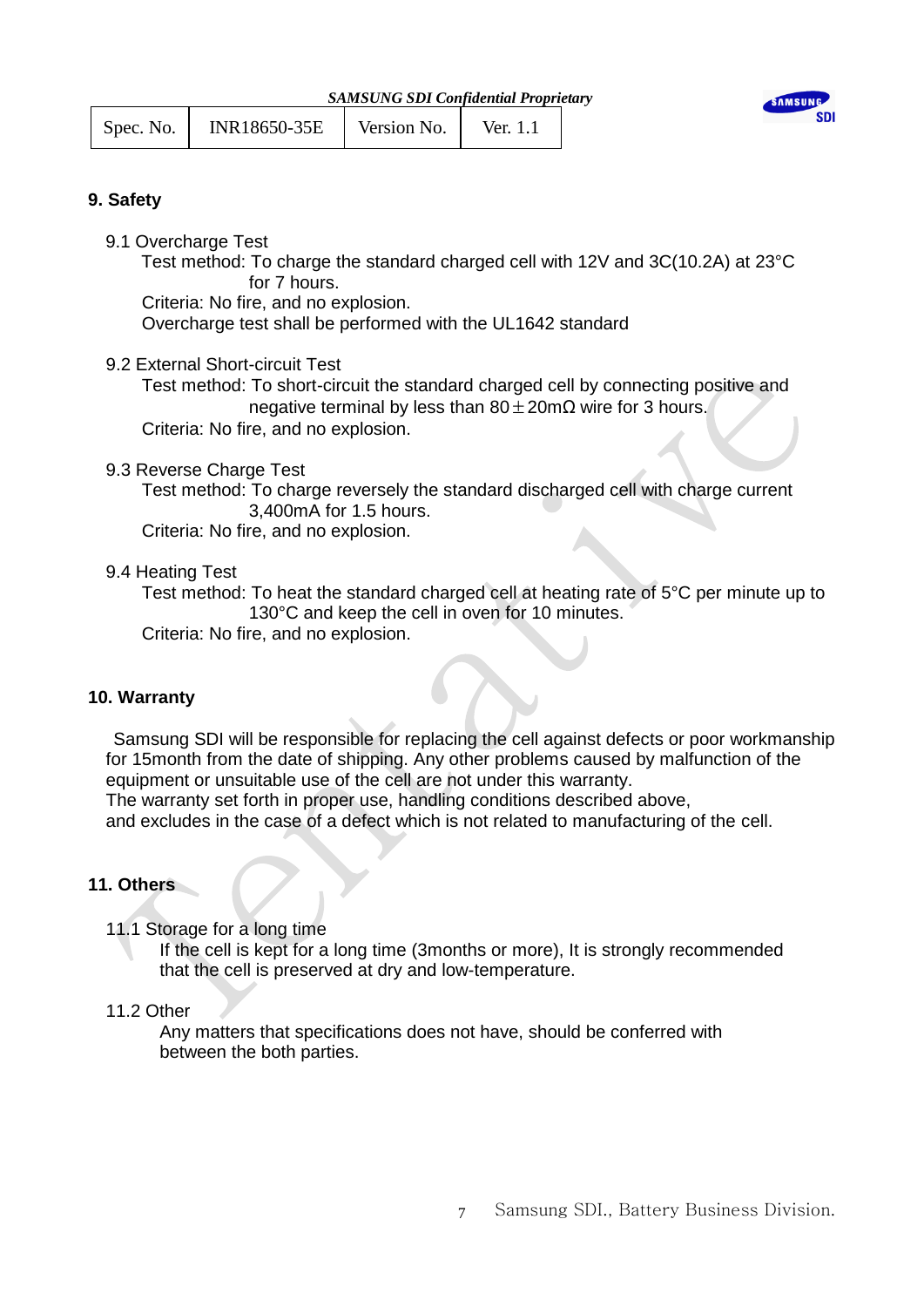| Spec. No. | INR18650-35E | Version No. | Ver. 1.1 |  |
|-----------|--------------|-------------|----------|--|
|           |              |             |          |  |



## **9. Safety**

9.1 Overcharge Test

 Test method: To charge the standard charged cell with 12V and 3C(10.2A) at 23°C for 7 hours.

Criteria: No fire, and no explosion.

Overcharge test shall be performed with the UL1642 standard

9.2 External Short-circuit Test

 Test method: To short-circuit the standard charged cell by connecting positive and negative terminal by less than  $80 \pm 20 \text{m}\Omega$  wire for 3 hours. Criteria: No fire, and no explosion.

9.3 Reverse Charge Test

Test method: To charge reversely the standard discharged cell with charge current 3,400mA for 1.5 hours.

Criteria: No fire, and no explosion.

9.4 Heating Test

 Test method: To heat the standard charged cell at heating rate of 5°C per minute up to 130°C and keep the cell in oven for 10 minutes.

Criteria: No fire, and no explosion.

## **10. Warranty**

Samsung SDI will be responsible for replacing the cell against defects or poor workmanship for 15month from the date of shipping. Any other problems caused by malfunction of the equipment or unsuitable use of the cell are not under this warranty.

The warranty set forth in proper use, handling conditions described above,

and excludes in the case of a defect which is not related to manufacturing of the cell.

## **11. Others**

11.1 Storage for a long time

 If the cell is kept for a long time (3months or more), It is strongly recommended that the cell is preserved at dry and low-temperature.

## 11.2 Other

 Any matters that specifications does not have, should be conferred with between the both parties.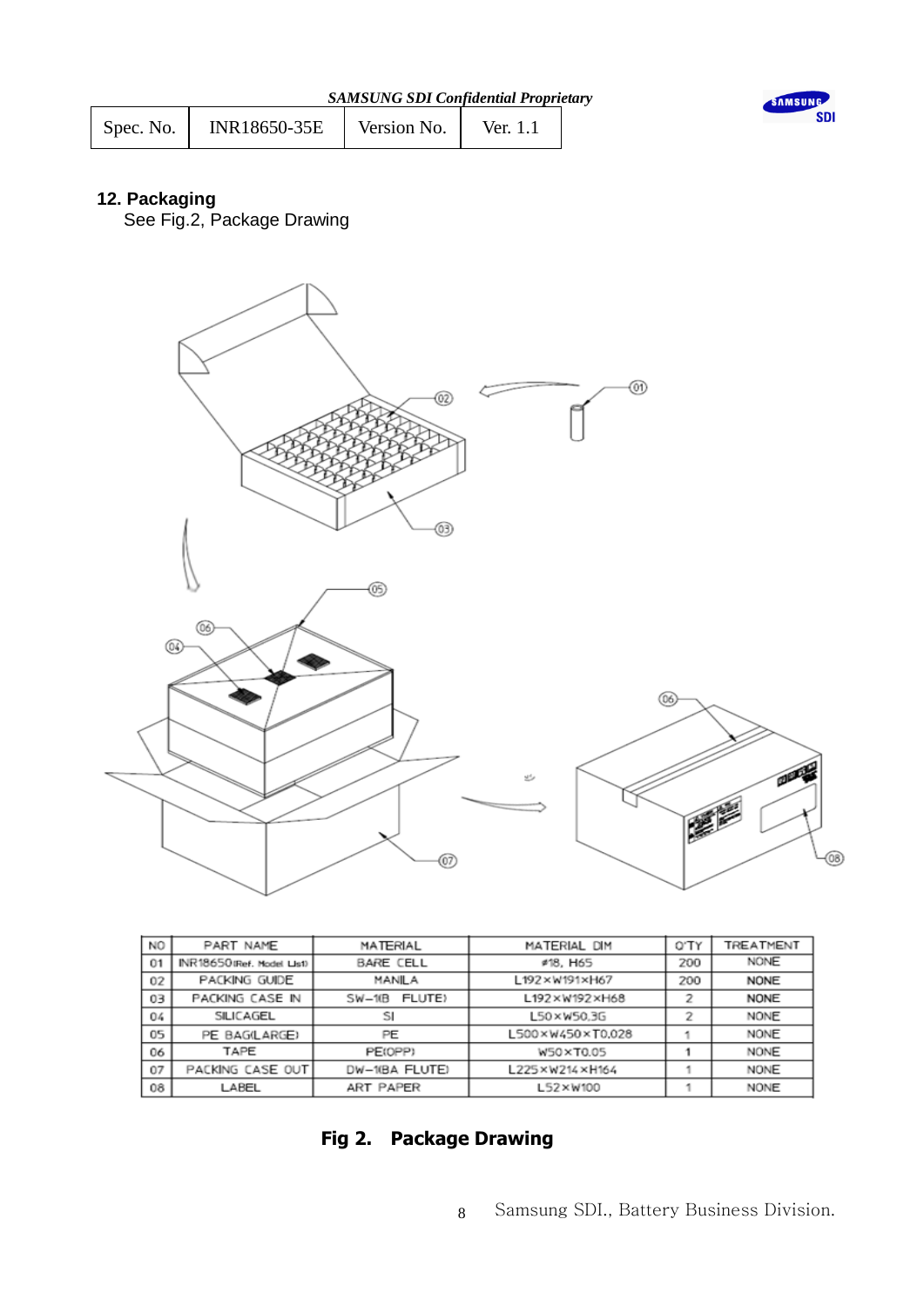| INR18650-35E | Version No. |
|--------------|-------------|
| Spec. No.    | Ver. 1.1    |



## **12. Packaging**

See Fig.2, Package Drawing



| NO. | PART NAME                  | MATERIAL           | MATERIAL DIM     | 0'TY | TREATMENT   |
|-----|----------------------------|--------------------|------------------|------|-------------|
| 01  | INR18650 (Ref. Model List) | <b>BARE CELL</b>   | #18, H65         | 200  | <b>NONE</b> |
| 02  | PACKING GUIDE              | MANILA             | L192×W191×H67    | 200  | <b>NONE</b> |
| 03  | PACKING CASE IN            | FLUTE)<br>$SW-10B$ | L192×W192×H68    |      | <b>NONE</b> |
| 04  | SILICAGEL                  | SI                 | L50×W50.3G       |      | NONE        |
| 05  | PE BAG(LARGE)              | PE                 | L500×W450×T0.028 |      | NONE        |
| 06  | TAPE                       | PE(OPP)            | W50×T0.05        |      | NONE        |
| 07  | PACKING CASE OUT           | DW-10BA FLUTE)     | L225×W214×H164   |      | NONE        |
| 08  | LABEL                      | <b>ART PAPER</b>   | L52×W100         |      | <b>NONE</b> |

## **Fig 2. Package Drawing**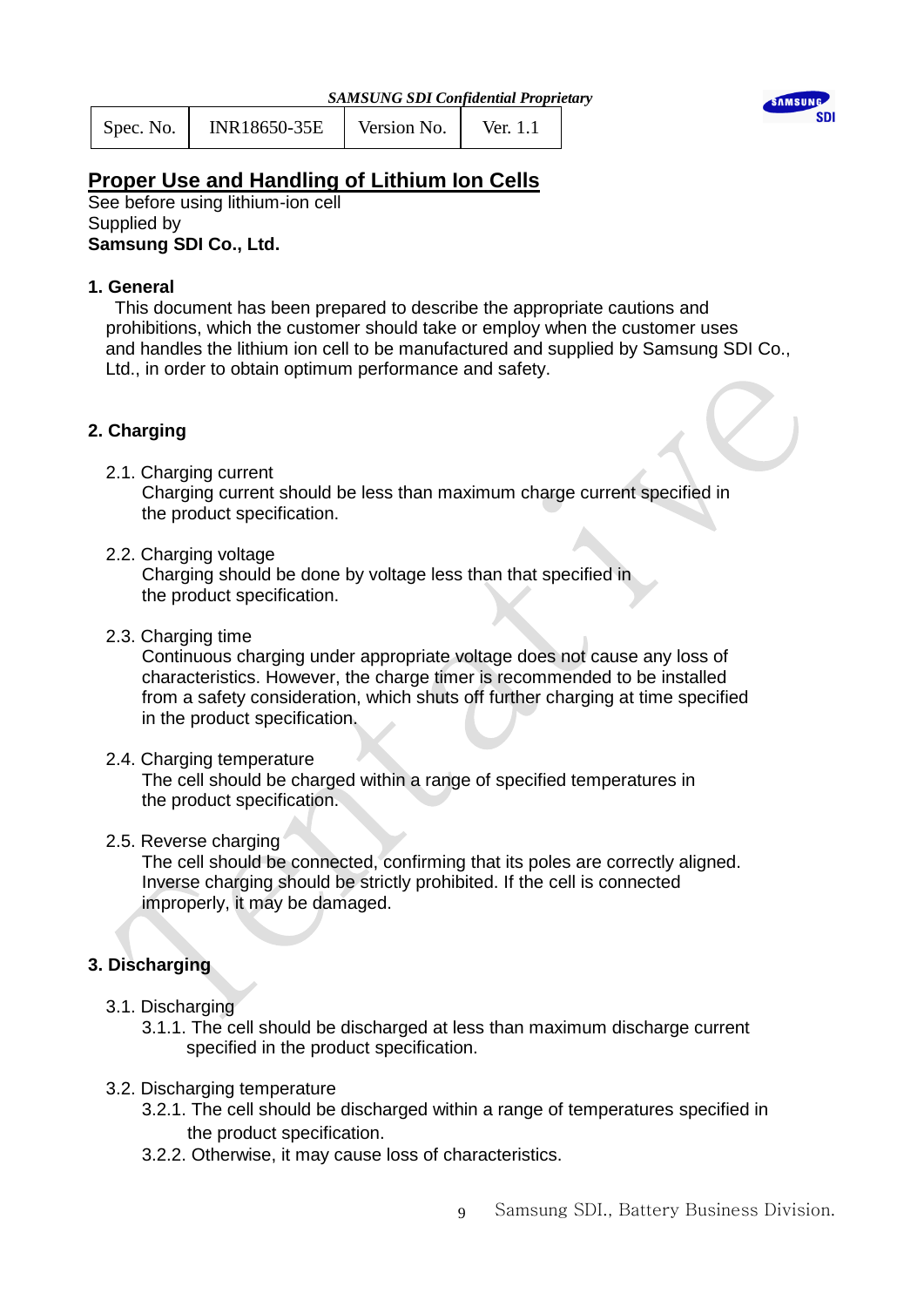| Spec. No. | INR18650-35E | Version No. | Ver. 1.1 |  |
|-----------|--------------|-------------|----------|--|
|           |              |             |          |  |



## **Proper Use and Handling of Lithium Ion Cells**

See before using lithium-ion cell Supplied by **Samsung SDI Co., Ltd.**

## **1. General**

 This document has been prepared to describe the appropriate cautions and prohibitions, which the customer should take or employ when the customer uses and handles the lithium ion cell to be manufactured and supplied by Samsung SDI Co., Ltd., in order to obtain optimum performance and safety.

## **2. Charging**

2.1. Charging current

 Charging current should be less than maximum charge current specified in the product specification.

2.2. Charging voltage

 Charging should be done by voltage less than that specified in the product specification.

2.3. Charging time

 Continuous charging under appropriate voltage does not cause any loss of characteristics. However, the charge timer is recommended to be installed from a safety consideration, which shuts off further charging at time specified in the product specification.

2.4. Charging temperature

 The cell should be charged within a range of specified temperatures in the product specification.

2.5. Reverse charging

 The cell should be connected, confirming that its poles are correctly aligned. Inverse charging should be strictly prohibited. If the cell is connected improperly, it may be damaged.

## **3. Discharging**

- 3.1. Discharging
	- 3.1.1. The cell should be discharged at less than maximum discharge current specified in the product specification.
- 3.2. Discharging temperature
	- 3.2.1. The cell should be discharged within a range of temperatures specified in the product specification.
	- 3.2.2. Otherwise, it may cause loss of characteristics.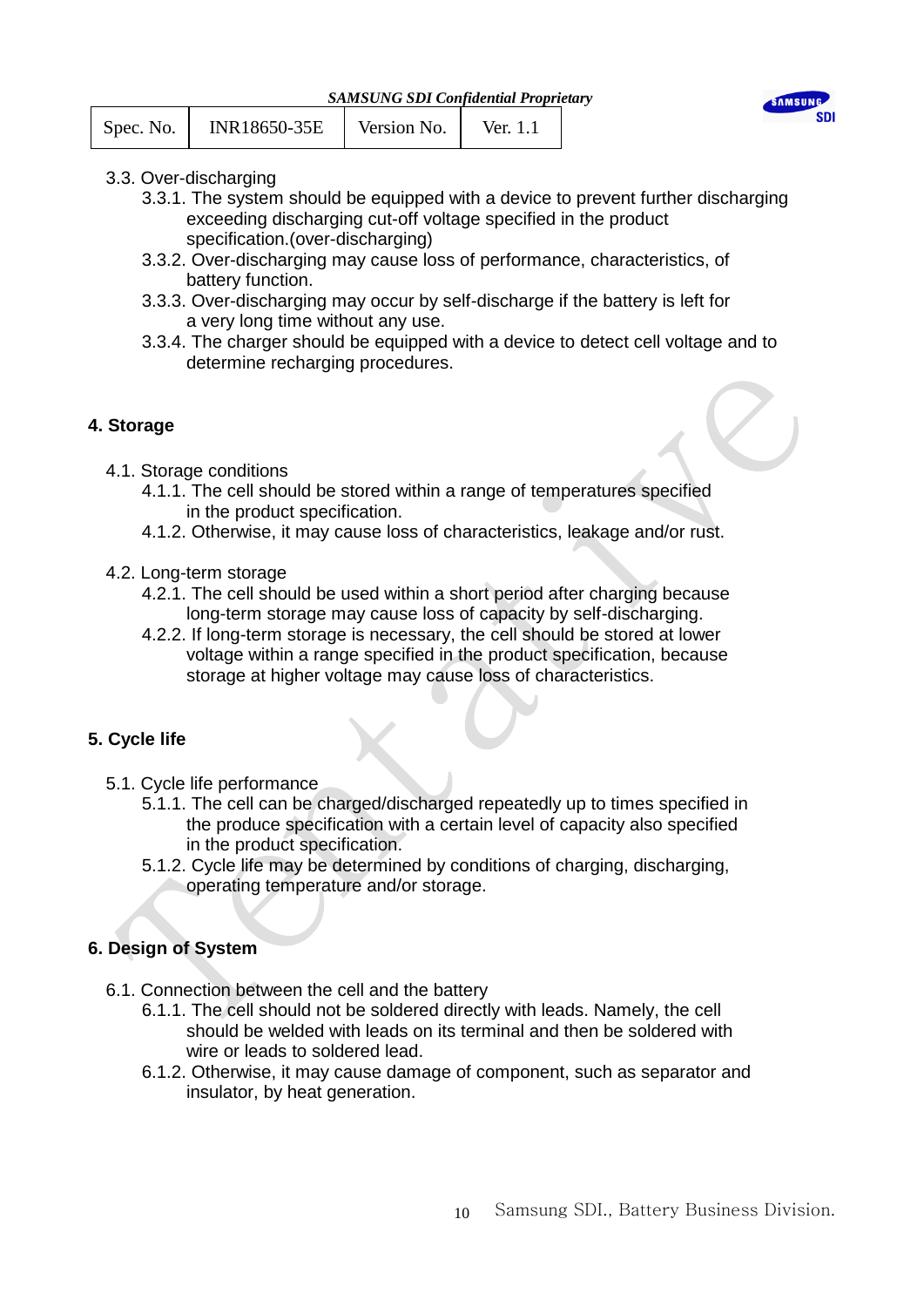*SAMSUNG SDI Confidential Proprietary*



| INR18650-35E<br>Version No.<br>Ver. $1.1$<br>Spec. No. |  |
|--------------------------------------------------------|--|
|--------------------------------------------------------|--|

- 3.3. Over-discharging
	- 3.3.1. The system should be equipped with a device to prevent further discharging exceeding discharging cut-off voltage specified in the product specification.(over-discharging)
	- 3.3.2. Over-discharging may cause loss of performance, characteristics, of battery function.
	- 3.3.3. Over-discharging may occur by self-discharge if the battery is left for a very long time without any use.
	- 3.3.4. The charger should be equipped with a device to detect cell voltage and to determine recharging procedures.

## **4. Storage**

- 4.1. Storage conditions
	- 4.1.1. The cell should be stored within a range of temperatures specified in the product specification.
	- 4.1.2. Otherwise, it may cause loss of characteristics, leakage and/or rust.
- 4.2. Long-term storage
	- 4.2.1. The cell should be used within a short period after charging because long-term storage may cause loss of capacity by self-discharging.
	- 4.2.2. If long-term storage is necessary, the cell should be stored at lower voltage within a range specified in the product specification, because storage at higher voltage may cause loss of characteristics.

## **5. Cycle life**

- 5.1. Cycle life performance
	- 5.1.1. The cell can be charged/discharged repeatedly up to times specified in the produce specification with a certain level of capacity also specified in the product specification.
	- 5.1.2. Cycle life may be determined by conditions of charging, discharging, operating temperature and/or storage.

## **6. Design of System**

- 6.1. Connection between the cell and the battery
	- 6.1.1. The cell should not be soldered directly with leads. Namely, the cell should be welded with leads on its terminal and then be soldered with wire or leads to soldered lead.
	- 6.1.2. Otherwise, it may cause damage of component, such as separator and insulator, by heat generation.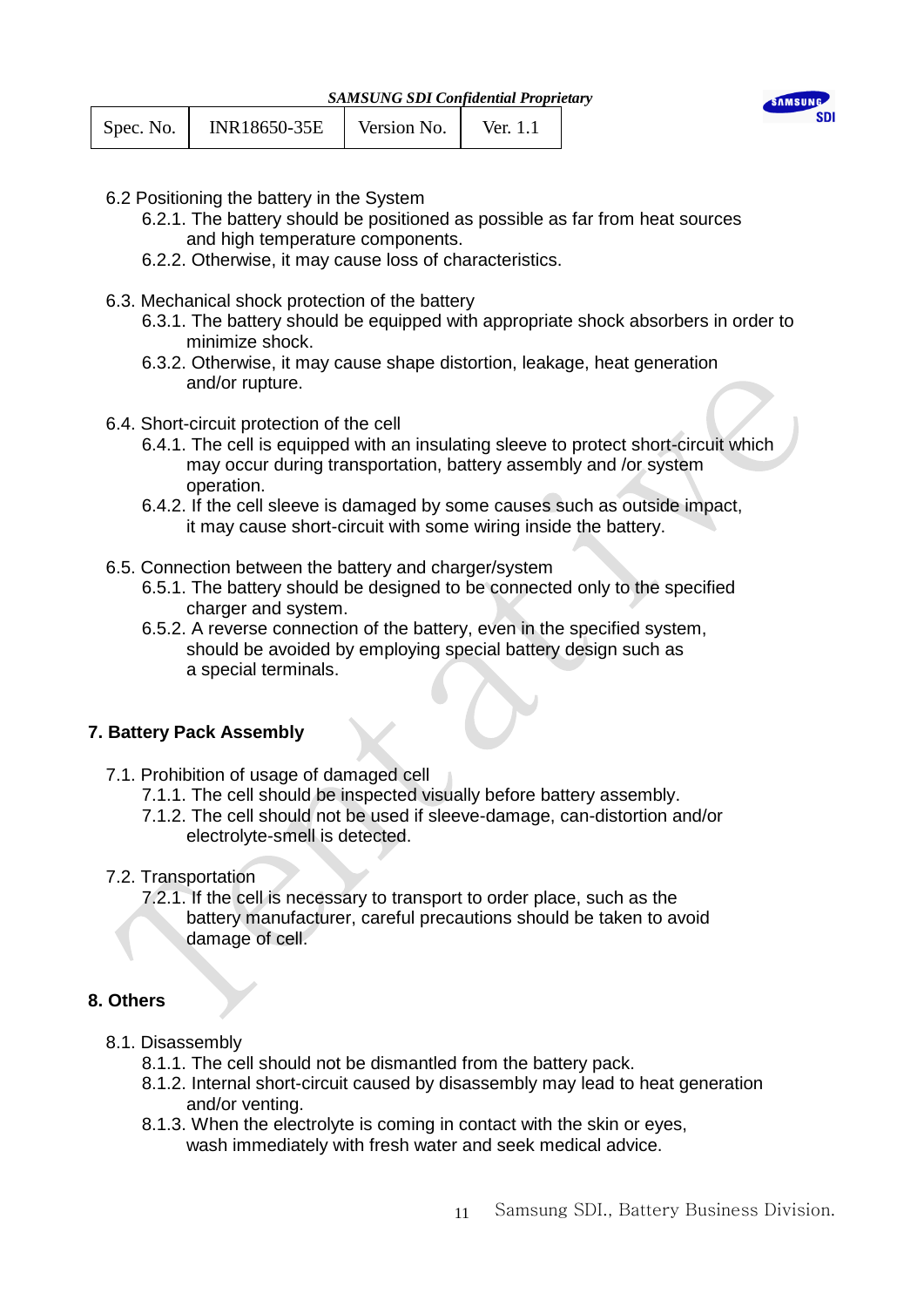



- 6.2 Positioning the battery in the System
	- 6.2.1. The battery should be positioned as possible as far from heat sources and high temperature components.
	- 6.2.2. Otherwise, it may cause loss of characteristics.
- 6.3. Mechanical shock protection of the battery
	- 6.3.1. The battery should be equipped with appropriate shock absorbers in order to minimize shock.
	- 6.3.2. Otherwise, it may cause shape distortion, leakage, heat generation and/or rupture.
- 6.4. Short-circuit protection of the cell
	- 6.4.1. The cell is equipped with an insulating sleeve to protect short-circuit which may occur during transportation, battery assembly and /or system operation.
	- 6.4.2. If the cell sleeve is damaged by some causes such as outside impact, it may cause short-circuit with some wiring inside the battery.
- 6.5. Connection between the battery and charger/system
	- 6.5.1. The battery should be designed to be connected only to the specified charger and system.
	- 6.5.2. A reverse connection of the battery, even in the specified system, should be avoided by employing special battery design such as a special terminals.

## **7. Battery Pack Assembly**

- 7.1. Prohibition of usage of damaged cell
	- 7.1.1. The cell should be inspected visually before battery assembly.
	- 7.1.2. The cell should not be used if sleeve-damage, can-distortion and/or electrolyte-smell is detected.
- 7.2. Transportation
	- 7.2.1. If the cell is necessary to transport to order place, such as the battery manufacturer, careful precautions should be taken to avoid damage of cell.

## **8. Others**

- 8.1. Disassembly
	- 8.1.1. The cell should not be dismantled from the battery pack.
	- 8.1.2. Internal short-circuit caused by disassembly may lead to heat generation and/or venting.
	- 8.1.3. When the electrolyte is coming in contact with the skin or eyes, wash immediately with fresh water and seek medical advice.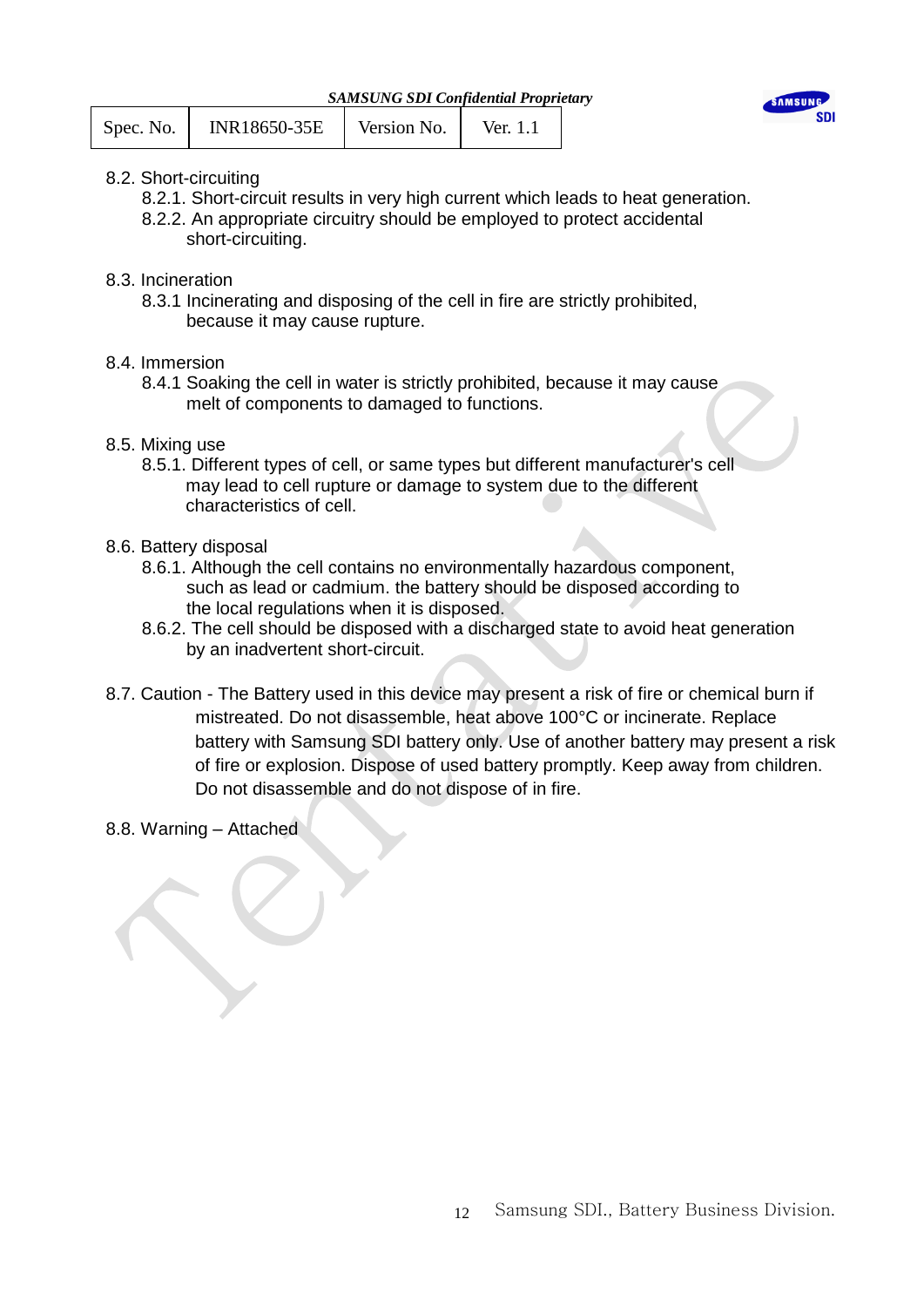|  | <b>SAMSUNG SDI Confidential Proprietary</b> |  |
|--|---------------------------------------------|--|
|  |                                             |  |

| INR18650-35E<br>Version No.<br>Spec. No.<br>Ver. 1.1 |
|------------------------------------------------------|
|------------------------------------------------------|



- 8.2. Short-circuiting
	- 8.2.1. Short-circuit results in very high current which leads to heat generation.
	- 8.2.2. An appropriate circuitry should be employed to protect accidental short-circuiting.
- 8.3. Incineration
	- 8.3.1 Incinerating and disposing of the cell in fire are strictly prohibited, because it may cause rupture.
- 8.4. Immersion
	- 8.4.1 Soaking the cell in water is strictly prohibited, because it may cause melt of components to damaged to functions.
- 8.5. Mixing use
	- 8.5.1. Different types of cell, or same types but different manufacturer's cell may lead to cell rupture or damage to system due to the different characteristics of cell.
- 8.6. Battery disposal
	- 8.6.1. Although the cell contains no environmentally hazardous component, such as lead or cadmium. the battery should be disposed according to the local regulations when it is disposed.
	- 8.6.2. The cell should be disposed with a discharged state to avoid heat generation by an inadvertent short-circuit.
- 8.7. Caution The Battery used in this device may present a risk of fire or chemical burn if mistreated. Do not disassemble, heat above 100°C or incinerate. Replace battery with Samsung SDI battery only. Use of another battery may present a risk of fire or explosion. Dispose of used battery promptly. Keep away from children. Do not disassemble and do not dispose of in fire.
- 8.8. Warning Attached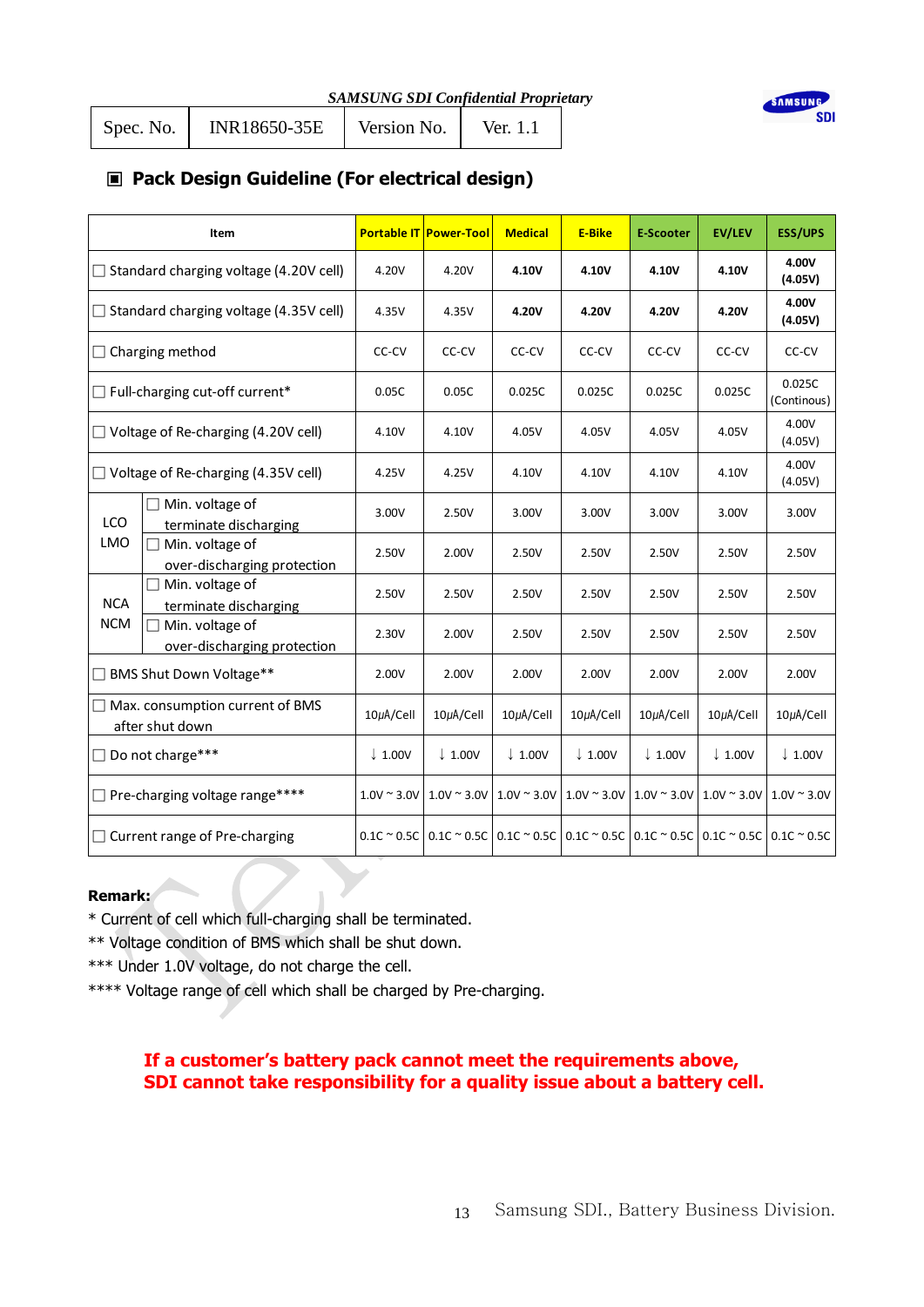| <b>SAMSUNG SDI Confidential Proprietary</b> |  |  |  |  |
|---------------------------------------------|--|--|--|--|
|---------------------------------------------|--|--|--|--|



Spec. No. | INR18650-35E | Version No. | Ver. 1.1

## ▣ **Pack Design Guideline (For electrical design)**

|                                                           | Item                                           |                    | <b>Portable IT Power-Tool</b>                                                                                                          | <b>Medical</b>                          | <b>E-Bike</b>      | <b>E-Scooter</b>    | <b>EV/LEV</b>      | <b>ESS/UPS</b>        |
|-----------------------------------------------------------|------------------------------------------------|--------------------|----------------------------------------------------------------------------------------------------------------------------------------|-----------------------------------------|--------------------|---------------------|--------------------|-----------------------|
|                                                           | $\Box$ Standard charging voltage (4.20V cell)  | 4.20V              | 4.20V                                                                                                                                  | 4.10V                                   | 4.10V              | 4.10V               | 4.10V              | 4.00V<br>(4.05V)      |
| $\Box$ Standard charging voltage (4.35V cell)             |                                                | 4.35V              | 4.35V                                                                                                                                  | 4.20V                                   | 4.20V              | 4.20V               | 4.20V              | 4.00V<br>(4.05V)      |
| $\Box$ Charging method                                    |                                                | CC-CV              | CC-CV                                                                                                                                  | CC-CV                                   | CC-CV              | CC-CV               | CC-CV              | CC-CV                 |
| $\Box$ Full-charging cut-off current*                     |                                                | 0.05C              | 0.05C                                                                                                                                  | 0.025C                                  | 0.025C             | 0.025C              | 0.025C             | 0.025C<br>(Continous) |
| $\Box$ Voltage of Re-charging (4.20V cell)                |                                                | 4.10V              | 4.10V                                                                                                                                  | 4.05V                                   | 4.05V              | 4.05V               | 4.05V              | 4.00V<br>(4.05V)      |
|                                                           | $\Box$ Voltage of Re-charging (4.35V cell)     |                    | 4.25V                                                                                                                                  | 4.10V                                   | 4.10V              | 4.10V               | 4.10V              | 4.00V<br>(4.05V)      |
| <b>LCO</b>                                                | Min. voltage of<br>terminate discharging       | 3.00V              | 2.50V                                                                                                                                  | 3.00V                                   | 3.00V              | 3.00V               | 3.00V              | 3.00V                 |
| <b>LMO</b>                                                | Min. voltage of<br>over-discharging protection | 2.50V              | 2.00V                                                                                                                                  | 2.50V                                   | 2.50V              | 2.50V               | 2.50V              | 2.50V                 |
| <b>NCA</b>                                                | Min. voltage of<br>terminate discharging       | 2.50V              | 2.50V                                                                                                                                  | 2.50V                                   | 2.50V              | 2.50V               | 2.50V              | 2.50V                 |
| <b>NCM</b>                                                | Min. voltage of<br>over-discharging protection | 2.30V              | 2.00V                                                                                                                                  | 2.50V                                   | 2.50V              | 2.50V               | 2.50V              | 2.50V                 |
|                                                           | □ BMS Shut Down Voltage**                      | 2.00V              | 2.00V                                                                                                                                  | 2.00V                                   | 2.00V              | 2.00V               | 2.00V              | 2.00V                 |
| $\Box$ Max. consumption current of BMS<br>after shut down |                                                | 10µA/Cell          | $10\mu$ A/Cell                                                                                                                         | $10\mu$ A/Cell                          | 10µA/Cell          | $10\mu$ A/Cell      | $10\mu$ A/Cell     | $10\mu$ A/Cell        |
| Do not charge***                                          |                                                | $\downarrow$ 1.00V | $\downarrow$ 1.00V                                                                                                                     | $\downarrow$ 1.00V                      | $\downarrow$ 1.00V | $\downarrow$ 1.00V  | $\downarrow$ 1.00V | $\downarrow$ 1.00V    |
|                                                           | $\Box$ Pre-charging voltage range****          | $1.0V \sim 3.0V$   |                                                                                                                                        | $1.0V \approx 3.0V$ 1.0V $\approx 3.0V$ | $1.0V \sim 3.0V$   | $1.0V \approx 3.0V$ | $1.0V \sim 3.0V$   | $1.0V \sim 3.0V$      |
|                                                           | $\Box$ Current range of Pre-charging           |                    | $0.1$ C ~ 0.5C $\vert$ 0.1C ~ 0.5C $\vert$ 0.1C ~ 0.5C $\vert$ 0.1C ~ 0.5C $\vert$ 0.1C ~ 0.5C $\vert$ 0.1C ~ 0.5C $\vert$ 0.1C ~ 0.5C |                                         |                    |                     |                    |                       |

## **Remark:**

\* Current of cell which full-charging shall be terminated.

\*\* Voltage condition of BMS which shall be shut down.

\*\*\* Under 1.0V voltage, do not charge the cell.

\*\*\*\* Voltage range of cell which shall be charged by Pre-charging.

## **If a customer's battery pack cannot meet the requirements above, SDI cannot take responsibility for a quality issue about a battery cell.**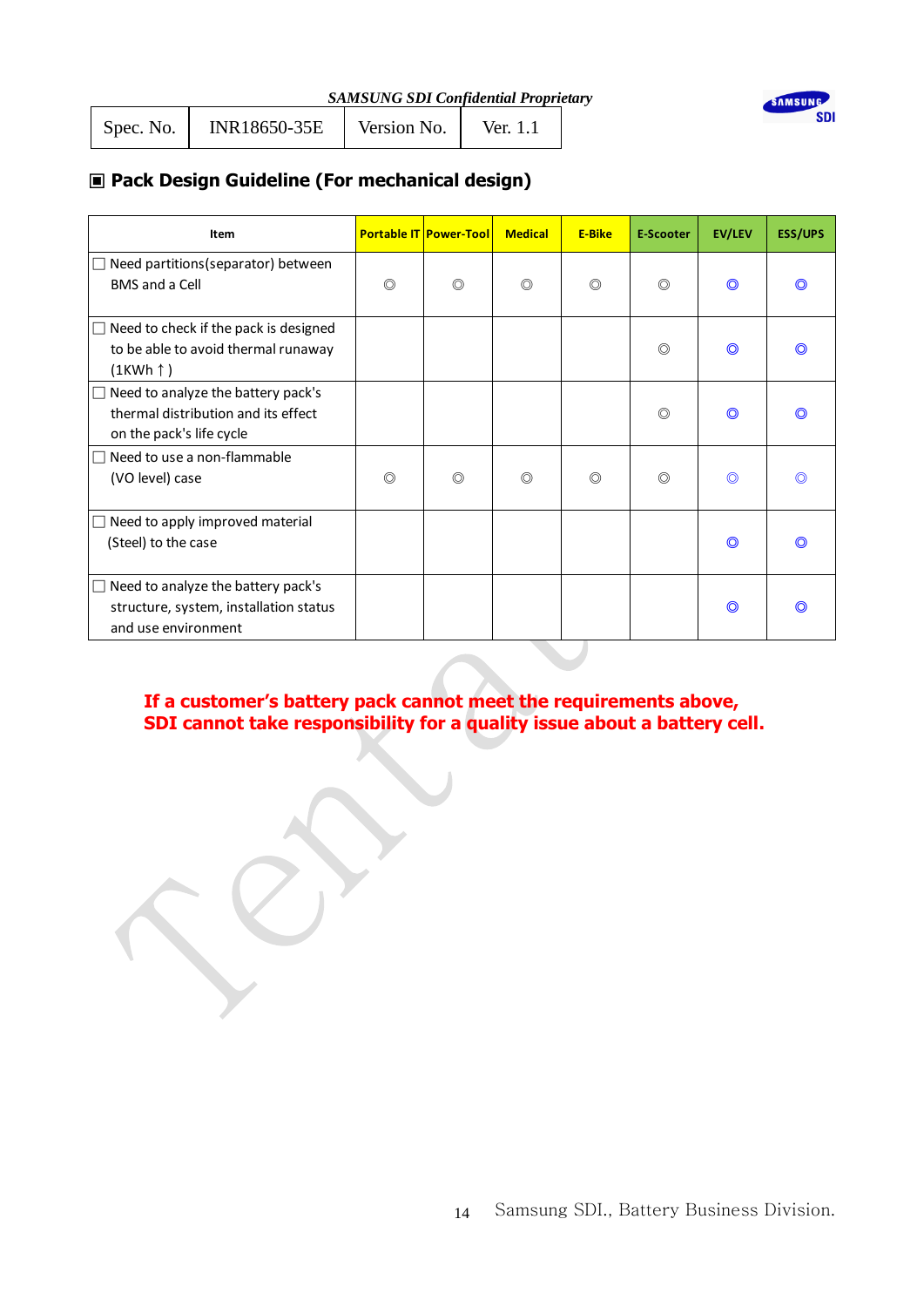| Spec. No. | INR18650-35E | Version No. | Ver. 1.1 |  |
|-----------|--------------|-------------|----------|--|
|-----------|--------------|-------------|----------|--|



## ▣ **Pack Design Guideline (For mechanical design)**

| Item                                                                                                       |                | <b>Portable IT Power-Tool</b> | <b>Medical</b> | <b>E-Bike</b>  | <b>E-Scooter</b> | <b>EV/LEV</b>  | <b>ESS/UPS</b> |
|------------------------------------------------------------------------------------------------------------|----------------|-------------------------------|----------------|----------------|------------------|----------------|----------------|
| $\Box$ Need partitions (separator) between<br><b>BMS</b> and a Cell                                        | ◎              | $\circledcirc$                | ◎              | $\circledcirc$ | $\circledcirc$   | $\circledcirc$ |                |
| $\Box$ Need to check if the pack is designed<br>to be able to avoid thermal runaway<br>$(1KWh \uparrow)$   |                |                               |                |                | $\circledcirc$   | O              |                |
| Need to analyze the battery pack's<br>П<br>thermal distribution and its effect<br>on the pack's life cycle |                |                               |                |                | $\circledcirc$   | O              |                |
| Need to use a non-flammable<br>$\Box$<br>(VO level) case                                                   | $\circledcirc$ | $\circledcirc$                | ◎              | $\circledcirc$ | $\circledcirc$   | $\circledcirc$ |                |
| Need to apply improved material<br>$\Box$<br>(Steel) to the case                                           |                |                               |                |                |                  | $\odot$        |                |
| $\Box$ Need to analyze the battery pack's<br>structure, system, installation status<br>and use environment |                |                               |                |                |                  | O              | ന              |

## **If a customer's battery pack cannot meet the requirements above, SDI cannot take responsibility for a quality issue about a battery cell.**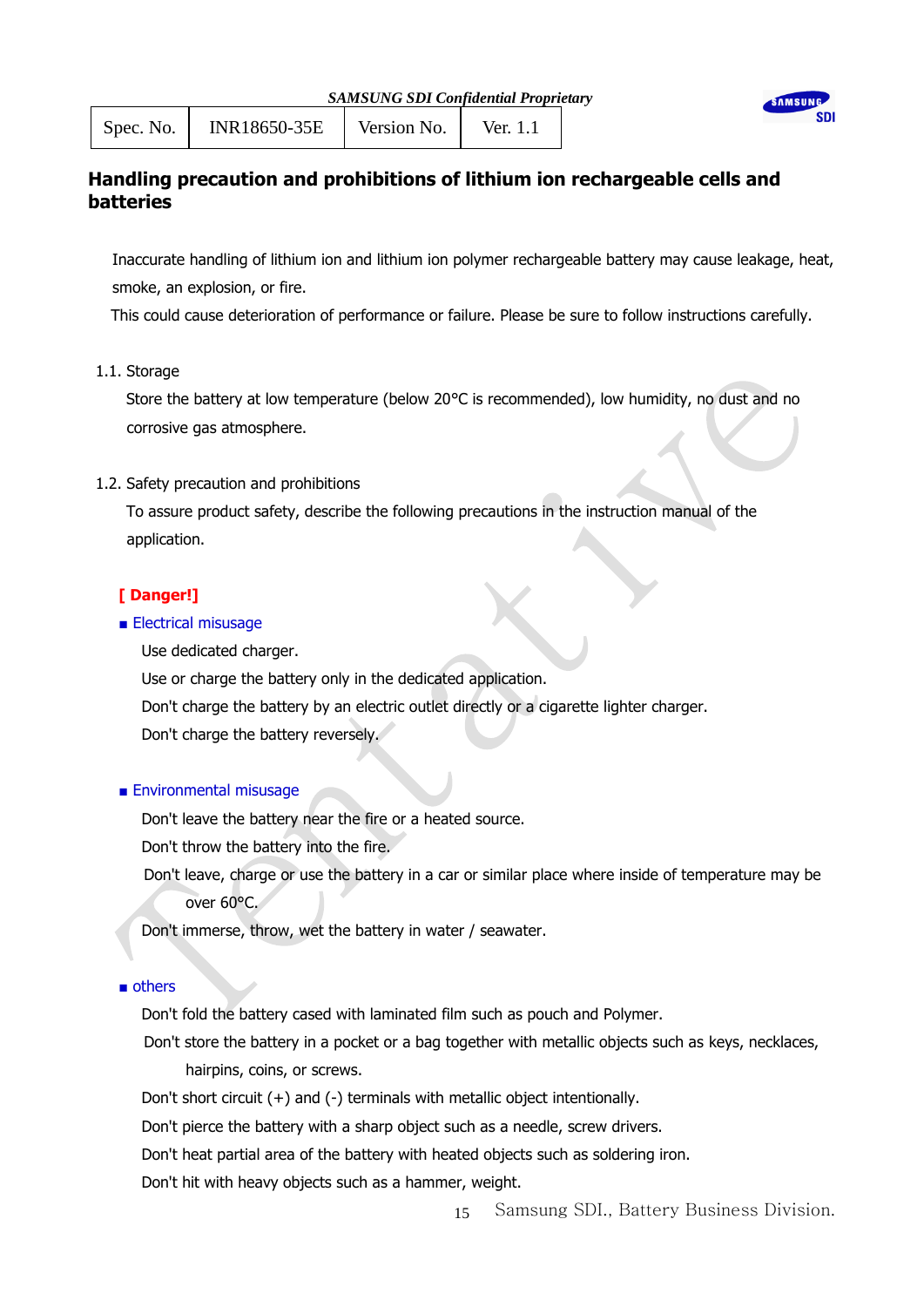| <b>SAMSUNG SDI Confidential Proprietary</b> |  |  |  |
|---------------------------------------------|--|--|--|
|                                             |  |  |  |



Spec. No. | INR18650-35E | Version No. | Ver. 1.1

## **Handling precaution and prohibitions of lithium ion rechargeable cells and batteries**

Inaccurate handling of lithium ion and lithium ion polymer rechargeable battery may cause leakage, heat, smoke, an explosion, or fire.

This could cause deterioration of performance or failure. Please be sure to follow instructions carefully.

1.1. Storage

 Store the battery at low temperature (below 20°C is recommended), low humidity, no dust and no corrosive gas atmosphere.

1.2. Safety precaution and prohibitions

 To assure product safety, describe the following precautions in the instruction manual of the application.

## **[ Danger!]**

## ■ Electrical misusage

Use dedicated charger.

Use or charge the battery only in the dedicated application.

Don't charge the battery by an electric outlet directly or a cigarette lighter charger.

Don't charge the battery reversely.

## ■ Environmental misusage

Don't leave the battery near the fire or a heated source.

Don't throw the battery into the fire.

Don't leave, charge or use the battery in a car or similar place where inside of temperature may be over 60°C.

Don't immerse, throw, wet the battery in water / seawater.

## ■ others

Don't fold the battery cased with laminated film such as pouch and Polymer.

Don't store the battery in a pocket or a bag together with metallic objects such as keys, necklaces, hairpins, coins, or screws.

Don't short circuit (+) and (-) terminals with metallic object intentionally.

Don't pierce the battery with a sharp object such as a needle, screw drivers.

Don't heat partial area of the battery with heated objects such as soldering iron.

Don't hit with heavy objects such as a hammer, weight.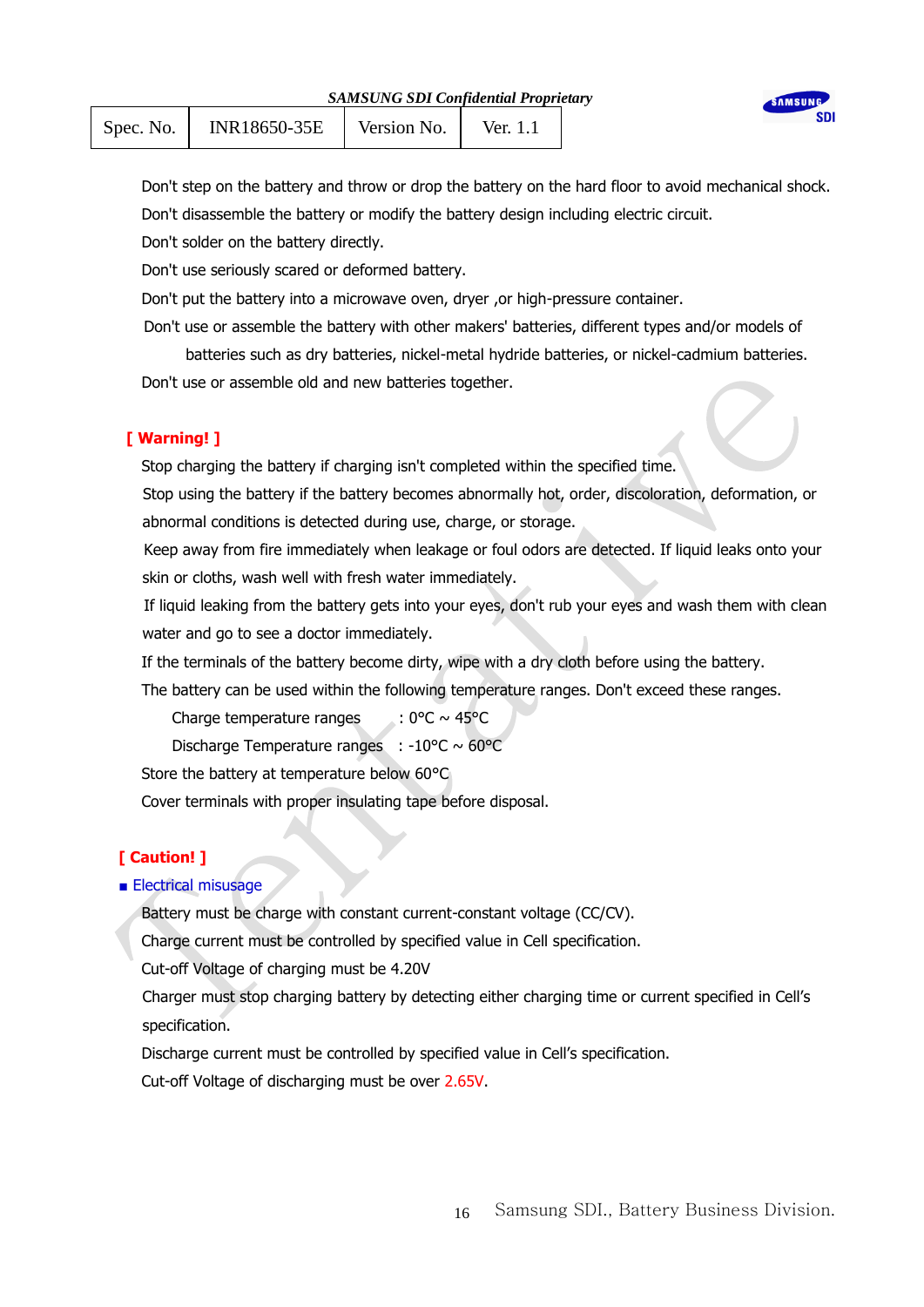| <b>SAMSUNG SDI Confidential Proprietary</b> |  |  |  |  |
|---------------------------------------------|--|--|--|--|
|---------------------------------------------|--|--|--|--|

| Spec. No. | INR18650-35E | Version No. | Ver. $1.1$ |  |
|-----------|--------------|-------------|------------|--|
|-----------|--------------|-------------|------------|--|

 Don't step on the battery and throw or drop the battery on the hard floor to avoid mechanical shock. Don't disassemble the battery or modify the battery design including electric circuit.

**AMSIIN** 

Don't solder on the battery directly.

Don't use seriously scared or deformed battery.

Don't put the battery into a microwave oven, dryer, or high-pressure container.

Don't use or assemble the battery with other makers' batteries, different types and/or models of

batteries such as dry batteries, nickel-metal hydride batteries, or nickel-cadmium batteries. Don't use or assemble old and new batteries together.

## **[ Warning! ]**

Stop charging the battery if charging isn't completed within the specified time.

Stop using the battery if the battery becomes abnormally hot, order, discoloration, deformation, or abnormal conditions is detected during use, charge, or storage.

Keep away from fire immediately when leakage or foul odors are detected. If liquid leaks onto your skin or cloths, wash well with fresh water immediately.

If liquid leaking from the battery gets into your eyes, don't rub your eyes and wash them with clean water and go to see a doctor immediately.

If the terminals of the battery become dirty, wipe with a dry cloth before using the battery.

The battery can be used within the following temperature ranges. Don't exceed these ranges.

Charge temperature ranges :  $0^{\circ}C \sim 45^{\circ}C$ 

Discharge Temperature ranges : -10 $\degree$ C ~ 60 $\degree$ C

Store the battery at temperature below 60°C

Cover terminals with proper insulating tape before disposal.

## **[ Caution! ]**

## ■ Electrical misusage

Battery must be charge with constant current-constant voltage (CC/CV).

Charge current must be controlled by specified value in Cell specification.

Cut-off Voltage of charging must be 4.20V

Charger must stop charging battery by detecting either charging time or current specified in Cell's specification.

Discharge current must be controlled by specified value in Cell's specification.

Cut-off Voltage of discharging must be over 2.65V.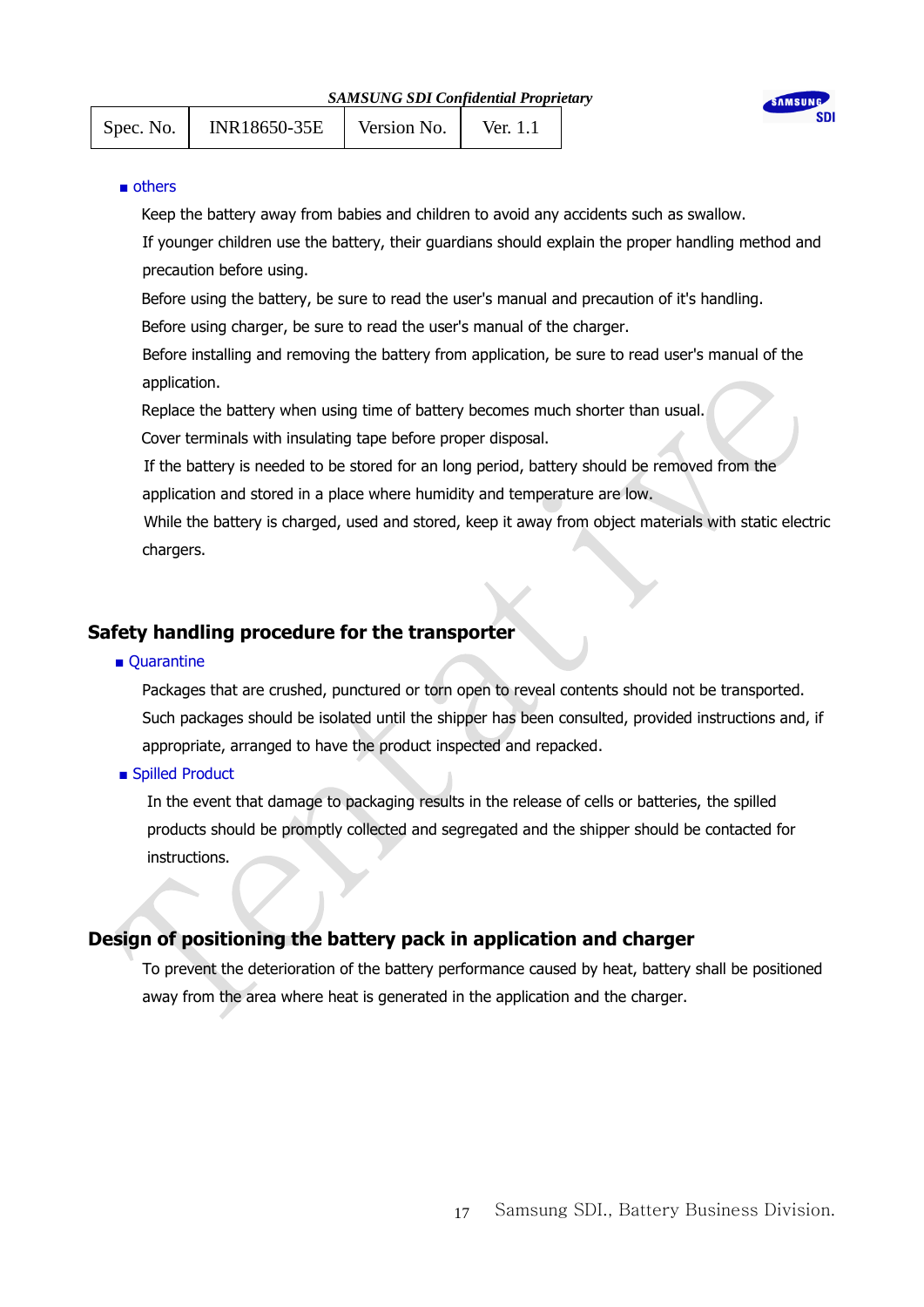|           |              | SAMSUNG SDI Confidential Proprietary |                  | SAMSUNG |  |
|-----------|--------------|--------------------------------------|------------------|---------|--|
| Spec. No. | INR18650-35E | Version No.                          | Ver. $1_{\cdot}$ |         |  |

#### ■ others

Keep the battery away from babies and children to avoid any accidents such as swallow.

If younger children use the battery, their guardians should explain the proper handling method and precaution before using.

Before using the battery, be sure to read the user's manual and precaution of it's handling.

Before using charger, be sure to read the user's manual of the charger.

Before installing and removing the battery from application, be sure to read user's manual of the application.

Replace the battery when using time of battery becomes much shorter than usual.

Cover terminals with insulating tape before proper disposal.

If the battery is needed to be stored for an long period, battery should be removed from the application and stored in a place where humidity and temperature are low.

While the battery is charged, used and stored, keep it away from object materials with static electric chargers.

## **Safety handling procedure for the transporter**

#### ■ Quarantine

Packages that are crushed, punctured or torn open to reveal contents should not be transported. Such packages should be isolated until the shipper has been consulted, provided instructions and, if appropriate, arranged to have the product inspected and repacked.

■ Spilled Product

In the event that damage to packaging results in the release of cells or batteries, the spilled products should be promptly collected and segregated and the shipper should be contacted for instructions.

## **Design of positioning the battery pack in application and charger**

To prevent the deterioration of the battery performance caused by heat, battery shall be positioned away from the area where heat is generated in the application and the charger.